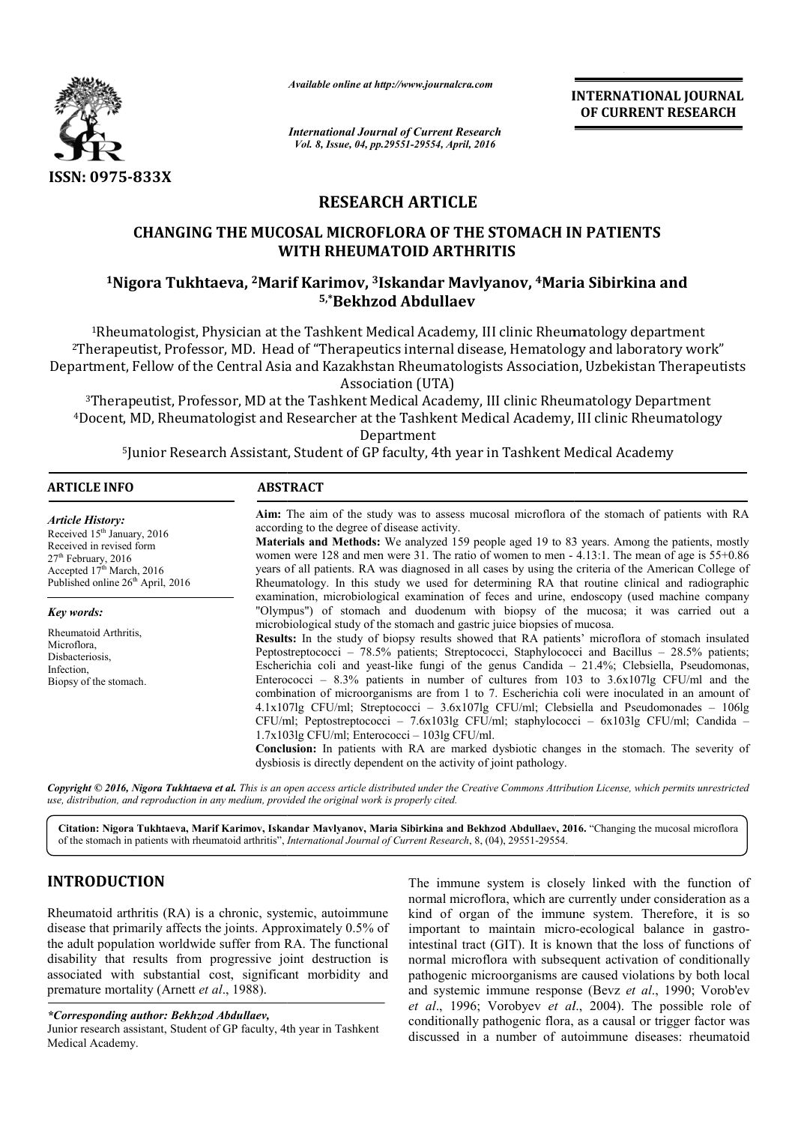

*Available online at http://www.journalcra.com*

## **RESEARCH ARTICLE**

# **CHANGING THE MUCOSAL MICROFLORA OF THE STOMACH IN PATIENTS WITH RHEUMATOID ARTHRITIS** CHANGING THE MUCOSAL MICROFLORA OF THE STOMACH IN PATIENTS<br>WITH RHEUMATOID ARTHRITIS<br><sup>1</sup>Nigora Tukhtaeva, <sup>2</sup>Marif Karimov, <sup>3</sup>Iskandar Mavlyanov, <sup>4</sup>Maria Sibirkina and

# **5,\*Bekhzod Abdullaev**

|                                                                                                                                                                                                                                                                                                                                                                                 | uuwic vnunc ui nup.//www.jvurnuicru.com                                                                                                                                                                                                                                                                                                                                                                                                                                                                                                                                                                                                                                                                                                                                                                                                                                                                              |                         | <b>INTERNATIONAL JOURNAL</b><br>OF CURRENT RESEARCH                                                                                                                                                                                                                                                                                                                                                                                                    |
|---------------------------------------------------------------------------------------------------------------------------------------------------------------------------------------------------------------------------------------------------------------------------------------------------------------------------------------------------------------------------------|----------------------------------------------------------------------------------------------------------------------------------------------------------------------------------------------------------------------------------------------------------------------------------------------------------------------------------------------------------------------------------------------------------------------------------------------------------------------------------------------------------------------------------------------------------------------------------------------------------------------------------------------------------------------------------------------------------------------------------------------------------------------------------------------------------------------------------------------------------------------------------------------------------------------|-------------------------|--------------------------------------------------------------------------------------------------------------------------------------------------------------------------------------------------------------------------------------------------------------------------------------------------------------------------------------------------------------------------------------------------------------------------------------------------------|
| <b>International Journal of Current Research</b><br>Vol. 8, Issue, 04, pp.29551-29554, April, 2016                                                                                                                                                                                                                                                                              |                                                                                                                                                                                                                                                                                                                                                                                                                                                                                                                                                                                                                                                                                                                                                                                                                                                                                                                      |                         |                                                                                                                                                                                                                                                                                                                                                                                                                                                        |
| ISSN: 0975-833X                                                                                                                                                                                                                                                                                                                                                                 |                                                                                                                                                                                                                                                                                                                                                                                                                                                                                                                                                                                                                                                                                                                                                                                                                                                                                                                      |                         |                                                                                                                                                                                                                                                                                                                                                                                                                                                        |
|                                                                                                                                                                                                                                                                                                                                                                                 |                                                                                                                                                                                                                                                                                                                                                                                                                                                                                                                                                                                                                                                                                                                                                                                                                                                                                                                      | <b>RESEARCH ARTICLE</b> |                                                                                                                                                                                                                                                                                                                                                                                                                                                        |
|                                                                                                                                                                                                                                                                                                                                                                                 | <b>CHANGING THE MUCOSAL MICROFLORA OF THE STOMACH IN PATIENTS</b><br>WITH RHEUMATOID ARTHRITIS                                                                                                                                                                                                                                                                                                                                                                                                                                                                                                                                                                                                                                                                                                                                                                                                                       |                         |                                                                                                                                                                                                                                                                                                                                                                                                                                                        |
|                                                                                                                                                                                                                                                                                                                                                                                 | <sup>1</sup> Nigora Tukhtaeva, <sup>2</sup> Marif Karimov, <sup>3</sup> Iskandar Mavlyanov, <sup>4</sup> Maria Sibirkina and<br>5,*Bekhzod Abdullaev                                                                                                                                                                                                                                                                                                                                                                                                                                                                                                                                                                                                                                                                                                                                                                 |                         |                                                                                                                                                                                                                                                                                                                                                                                                                                                        |
|                                                                                                                                                                                                                                                                                                                                                                                 | <sup>1</sup> Rheumatologist, Physician at the Tashkent Medical Academy, III clinic Rheumatology department<br>Association (UTA)                                                                                                                                                                                                                                                                                                                                                                                                                                                                                                                                                                                                                                                                                                                                                                                      |                         | <sup>2</sup> Therapeutist, Professor, MD. Head of "Therapeutics internal disease, Hematology and laboratory work"<br>Department, Fellow of the Central Asia and Kazakhstan Rheumatologists Association, Uzbekistan Therapeutists                                                                                                                                                                                                                       |
|                                                                                                                                                                                                                                                                                                                                                                                 | <sup>3</sup> Therapeutist, Professor, MD at the Tashkent Medical Academy, III clinic Rheumatology Department                                                                                                                                                                                                                                                                                                                                                                                                                                                                                                                                                                                                                                                                                                                                                                                                         | Department              | <sup>4</sup> Docent, MD, Rheumatologist and Researcher at the Tashkent Medical Academy, III clinic Rheumatology                                                                                                                                                                                                                                                                                                                                        |
|                                                                                                                                                                                                                                                                                                                                                                                 | <sup>5</sup> Junior Research Assistant, Student of GP faculty, 4th year in Tashkent Medical Academy                                                                                                                                                                                                                                                                                                                                                                                                                                                                                                                                                                                                                                                                                                                                                                                                                  |                         |                                                                                                                                                                                                                                                                                                                                                                                                                                                        |
| <b>ARTICLE INFO</b>                                                                                                                                                                                                                                                                                                                                                             | <b>ABSTRACT</b>                                                                                                                                                                                                                                                                                                                                                                                                                                                                                                                                                                                                                                                                                                                                                                                                                                                                                                      |                         |                                                                                                                                                                                                                                                                                                                                                                                                                                                        |
| <b>Article History:</b><br>Received 15 <sup>th</sup> January, 2016<br>Received in revised form<br>27 <sup>th</sup> February, 2016<br>Accepted 17 <sup>th</sup> March, 2016<br>Published online 26 <sup>th</sup> April, 2016<br>Key words:                                                                                                                                       | Aim: The aim of the study was to assess mucosal microflora of the stomach of patients with RA<br>according to the degree of disease activity.<br>Materials and Methods: We analyzed 159 people aged 19 to 83 years. Among the patients, mostly<br>women were 128 and men were 31. The ratio of women to men - 4.13:1. The mean of age is 55+0.86<br>years of all patients. RA was diagnosed in all cases by using the criteria of the American College of<br>Rheumatology. In this study we used for determining RA that routine clinical and radiographic<br>examination, microbiological examination of feces and urine, endoscopy (used machine company<br>"Olympus") of stomach and duodenum with biopsy of the mucosa; it was carried out a<br>microbiological study of the stomach and gastric juice biopsies of mucosa.                                                                                       |                         |                                                                                                                                                                                                                                                                                                                                                                                                                                                        |
| Rheumatoid Arthritis,<br>Microflora,<br>Disbacteriosis,<br>Infection,<br>Biopsy of the stomach.                                                                                                                                                                                                                                                                                 | Results: In the study of biopsy results showed that RA patients' microflora of stomach insulated<br>Peptostreptococci – 78.5% patients; Streptococci, Staphylococci and Bacillus – 28.5% patients;<br>Escherichia coli and yeast-like fungi of the genus Candida $-21.4\%$ ; Clebsiella, Pseudomonas,<br>Enterococci - 8.3% patients in number of cultures from 103 to 3.6x107lg CFU/ml and the<br>combination of microorganisms are from 1 to 7. Escherichia coli were inoculated in an amount of<br>4.1x107lg CFU/ml; Streptococci - 3.6x107lg CFU/ml; Clebsiella and Pseudomonades - 106lg<br>CFU/ml; Peptostreptococci - 7.6x103lg CFU/ml; staphylococci - 6x103lg CFU/ml; Candida -<br>$1.7x1031g$ CFU/ml; Enterococci - $1031g$ CFU/ml.<br>Conclusion: In patients with RA are marked dysbiotic changes in the stomach. The severity of<br>dysbiosis is directly dependent on the activity of joint pathology. |                         |                                                                                                                                                                                                                                                                                                                                                                                                                                                        |
|                                                                                                                                                                                                                                                                                                                                                                                 | use, distribution, and reproduction in any medium, provided the original work is properly cited.                                                                                                                                                                                                                                                                                                                                                                                                                                                                                                                                                                                                                                                                                                                                                                                                                     |                         | Copyright © 2016, Nigora Tukhtaeva et al. This is an open access article distributed under the Creative Commons Attribution License, which permits unrestricted                                                                                                                                                                                                                                                                                        |
|                                                                                                                                                                                                                                                                                                                                                                                 | of the stomach in patients with rheumatoid arthritis", <i>International Journal of Current Research</i> , 8, (04), 29551-29554.                                                                                                                                                                                                                                                                                                                                                                                                                                                                                                                                                                                                                                                                                                                                                                                      |                         | Citation: Nigora Tukhtaeva, Marif Karimov, Iskandar Mavlyanov, Maria Sibirkina and Bekhzod Abdullaev, 2016. "Changing the mucosal microflora                                                                                                                                                                                                                                                                                                           |
| <b>INTRODUCTION</b>                                                                                                                                                                                                                                                                                                                                                             |                                                                                                                                                                                                                                                                                                                                                                                                                                                                                                                                                                                                                                                                                                                                                                                                                                                                                                                      |                         | The immune system is closely linked with the function of<br>normal microflora, which are currently under consideration as a                                                                                                                                                                                                                                                                                                                            |
| Rheumatoid arthritis (RA) is a chronic, systemic, autoimmune<br>disease that primarily affects the joints. Approximately 0.5% of<br>the adult population worldwide suffer from RA. The functional<br>disability that results from progressive joint destruction is<br>associated with substantial cost, significant morbidity and<br>premature mortality (Arnett et al., 1988). |                                                                                                                                                                                                                                                                                                                                                                                                                                                                                                                                                                                                                                                                                                                                                                                                                                                                                                                      |                         | kind of organ of the immune system. Therefore, it is so<br>important to maintain micro-ecological balance in gastro-<br>intestinal tract (GIT). It is known that the loss of functions of<br>normal microflora with subsequent activation of conditionally<br>pathogenic microorganisms are caused violations by both local<br>and systemic immune response (Bevz et al., 1990; Vorob'ev<br>et al., 1996; Vorobyev et al., 2004). The possible role of |
| *Corresponding author: Bekhzod Abdullaev,<br>Junior research assistant, Student of GP faculty, 4th year in Tashkent<br>Medical Academy                                                                                                                                                                                                                                          |                                                                                                                                                                                                                                                                                                                                                                                                                                                                                                                                                                                                                                                                                                                                                                                                                                                                                                                      |                         | conditionally pathogenic flora, as a causal or trigger factor was<br>discussed in a number of autoimmune diseases: rheumatoid                                                                                                                                                                                                                                                                                                                          |

### **INTRODUCTION**

#### *\*Corresponding author: Bekhzod Abdullaev,*

Junior research assistant, Student of GP faculty, 4th year in Tashkent Medical Academy.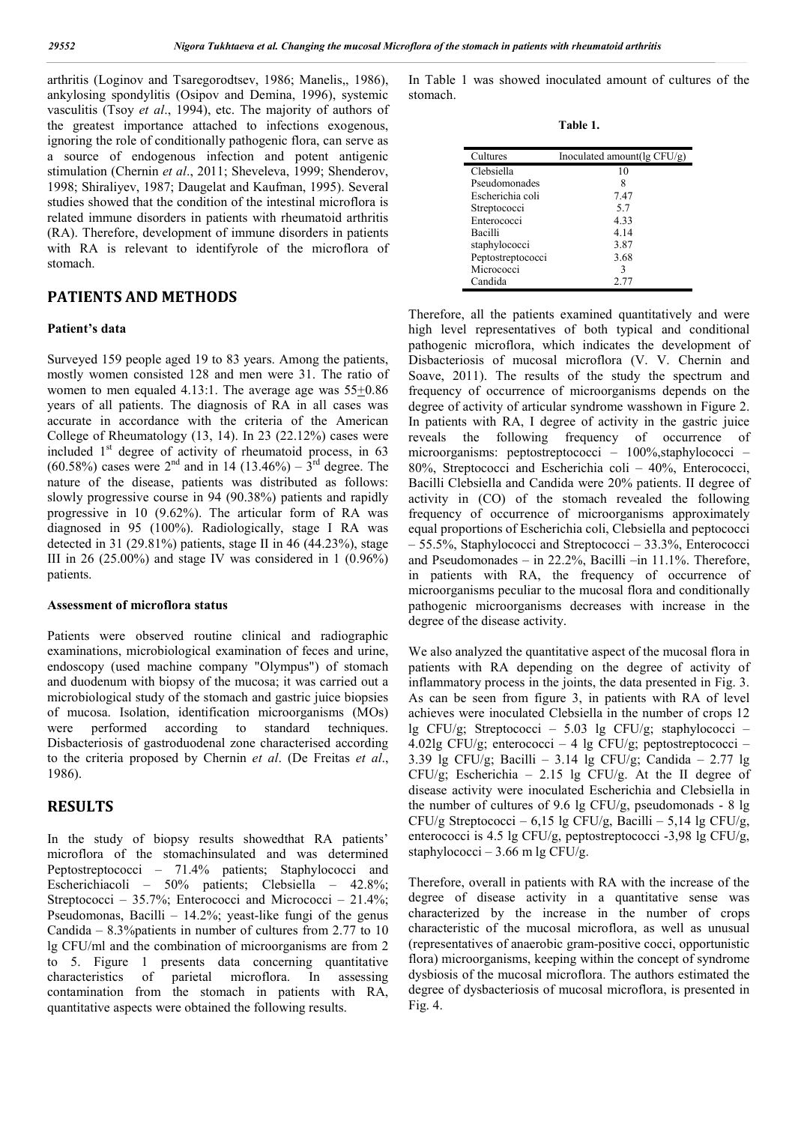arthritis (Loginov and Tsaregorodtsev, 1986; Manelis,, 1986), ankylosing spondylitis (Osipov and Demina, 1996), systemic vasculitis (Tsoy *et al*., 1994), etc. The majority of authors of the greatest importance attached to infections exogenous, ignoring the role of conditionally pathogenic flora, can serve as a source of endogenous infection and potent antigenic stimulation (Chernin *et al*., 2011; Sheveleva, 1999; Shenderov, 1998; Shiraliyev, 1987; Daugelat and Kaufman, 1995). Several studies showed that the condition of the intestinal microflora is related immune disorders in patients with rheumatoid arthritis (RA). Therefore, development of immune disorders in patients with RA is relevant to identifyrole of the microflora of stomach.

#### **PATIENTS AND METHODS**

#### **Patient's data**

Surveyed 159 people aged 19 to 83 years. Among the patients, mostly women consisted 128 and men were 31. The ratio of women to men equaled 4.13:1. The average age was 55+0.86 years of all patients. The diagnosis of RA in all cases was accurate in accordance with the criteria of the American College of Rheumatology (13, 14). In 23 (22.12%) cases were included  $1<sup>st</sup>$  degree of activity of rheumatoid process, in 63 (60.58%) cases were  $2^{nd}$  and in 14 (13.46%) –  $3^{rd}$  degree. The nature of the disease, patients was distributed as follows: slowly progressive course in 94 (90.38%) patients and rapidly progressive in 10 (9.62%). The articular form of RA was diagnosed in 95 (100%). Radiologically, stage I RA was detected in 31 (29.81%) patients, stage II in 46 (44.23%), stage III in 26 (25.00%) and stage IV was considered in 1 (0.96%) patients.

#### **Assessment of microflora status**

Patients were observed routine clinical and radiographic examinations, microbiological examination of feces and urine, endoscopy (used machine company "Olympus") of stomach and duodenum with biopsy of the mucosa; it was carried out a microbiological study of the stomach and gastric juice biopsies of mucosa. Isolation, identification microorganisms (MOs)<br>were performed according to standard techniques. were performed according to standard techniques. Disbacteriosis of gastroduodenal zone characterised according to the criteria proposed by Chernin *et al*. (De Freitas *et al*., 1986).

#### **RESULTS**

In the study of biopsy results showedthat RA patients' microflora of the stomachinsulated and was determined Peptostreptococci – 71.4% patients; Staphylococci and Escherichiacoli – 50% patients; Clebsiella – 42.8%; Streptococci – 35.7%; Enterococci and Micrococci – 21.4%; Pseudomonas, Bacilli – 14.2%; yeast-like fungi of the genus Candida – 8.3%patients in number of cultures from 2.77 to 10 lg CFU/ml and the combination of microorganisms are from 2 to 5. Figure 1 presents data concerning quantitative characteristics of parietal microflora. In assessing contamination from the stomach in patients with RA, quantitative aspects were obtained the following results.

In Table 1 was showed inoculated amount of cultures of the stomach.

**Table 1.**

| Cultures          | Inoculated amount( $\lg CFU/g$ ) |
|-------------------|----------------------------------|
| Clebsiella        | 10                               |
| Pseudomonades     | 8                                |
| Escherichia coli  | 7.47                             |
| Streptococci      | 5.7                              |
| Enterococci       | 4.33                             |
| Bacilli           | 4.14                             |
| staphylococci     | 3.87                             |
| Peptostreptococci | 3.68                             |
| Micrococci        | ٩                                |
| Candida           | 2.77                             |

Therefore, all the patients examined quantitatively and were high level representatives of both typical and conditional pathogenic microflora, which indicates the development of Disbacteriosis of mucosal microflora (V. V. Chernin and Soave, 2011). The results of the study the spectrum and frequency of occurrence of microorganisms depends on the degree of activity of articular syndrome wasshown in Figure 2. In patients with RA, I degree of activity in the gastric juice reveals the following frequency of occurrence of microorganisms: peptostreptococci – 100%, staphylococci – 80%, Streptococci and Escherichia coli – 40%, Enterococci, Bacilli Clebsiella and Candida were 20% patients. II degree of activity in (CO) of the stomach revealed the following frequency of occurrence of microorganisms approximately equal proportions of Escherichia coli, Clebsiella and peptococci – 55.5%, Staphylococci and Streptococci – 33.3%, Enterococci and Pseudomonades – in 22.2%, Bacilli –in 11.1%. Therefore, in patients with RA, the frequency of occurrence of microorganisms peculiar to the mucosal flora and conditionally pathogenic microorganisms decreases with increase in the degree of the disease activity.

We also analyzed the quantitative aspect of the mucosal flora in patients with RA depending on the degree of activity of inflammatory process in the joints, the data presented in Fig. 3. As can be seen from figure 3, in patients with RA of level achieves were inoculated Clebsiella in the number of crops 12 lg CFU/g; Streptococci – 5.03 lg CFU/g; staphylococci – 4.02lg CFU/g; enterococci – 4 lg CFU/g; peptostreptococci – 3.39 lg CFU/g; Bacilli – 3.14 lg CFU/g; Candida – 2.77 lg CFU/g; Escherichia – 2.15 lg CFU/g. At the II degree of disease activity were inoculated Escherichia and Clebsiella in the number of cultures of 9.6 lg CFU/g, pseudomonads - 8 lg CFU/g Streptococci – 6,15 lg CFU/g, Bacilli – 5,14 lg CFU/g, enterococci is 4.5 lg CFU/g, peptostreptococci -3,98 lg CFU/g, staphylococci – 3.66 m lg CFU/g.

Therefore, overall in patients with RA with the increase of the degree of disease activity in a quantitative sense was characterized by the increase in the number of crops characteristic of the mucosal microflora, as well as unusual (representatives of anaerobic gram-positive cocci, opportunistic flora) microorganisms, keeping within the concept of syndrome dysbiosis of the mucosal microflora. The authors estimated the degree of dysbacteriosis of mucosal microflora, is presented in Fig. 4.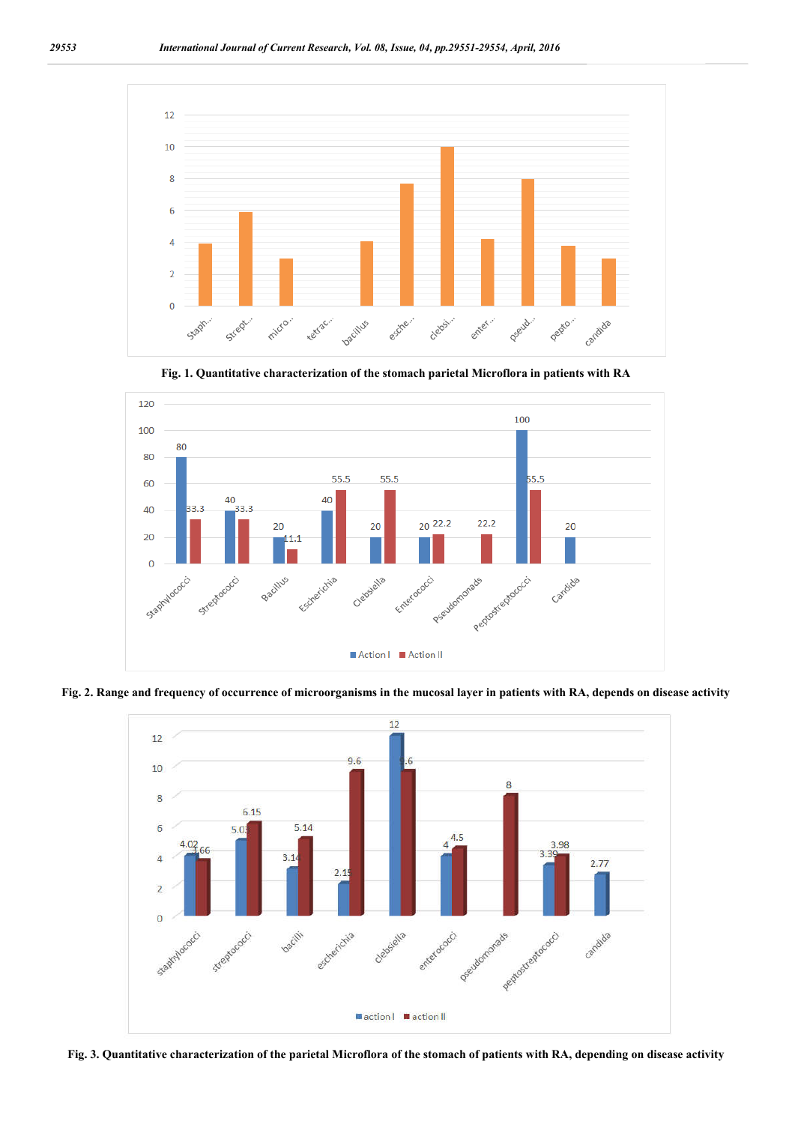

**Fig. 1. Quantitative characterization of the stomach parietal Microflora in patients with RA**



**Fig. 2. Range and frequency of occurrence of microorganisms in the mucosal layer in patients with RA, depends on disease activity**